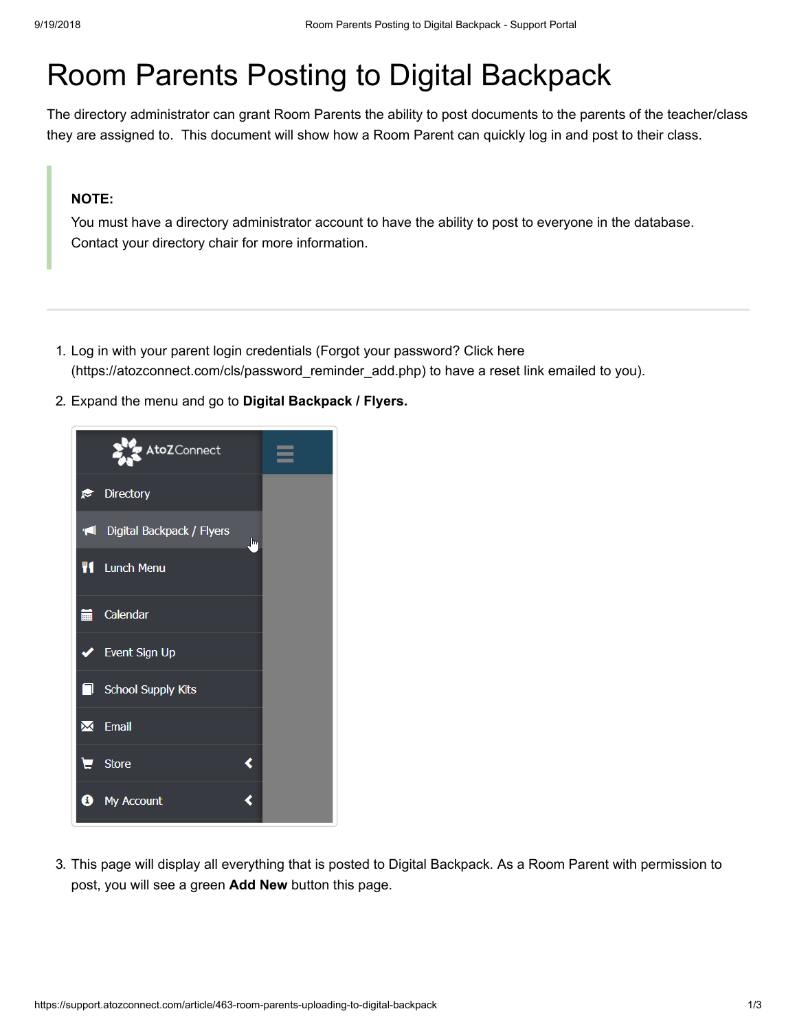## Room Parents Posting to Digital Backpack

The directory administrator can grant Room Parents the ability to post documents to the parents of the teacher/class they are assigned to. This document will show how a Room Parent can quickly log in and post to their class.

## **NOTE:**

You must have a directory administrator account to have the ability to post to everyone in the database. Contact your directory chair for more information.

- 1. Log in with your parent login credentials (Forgot your password? Click here (https://atozconnect.com/cls/password reminder add.php) to have a reset link emailed to you).
- 2. Expand the menu and go to **Digital Backpack / Flyers.**



3. This page will display all everything that is posted to Digital Backpack. As a Room Parent with permission to post, you will see a green **Add New** button this page.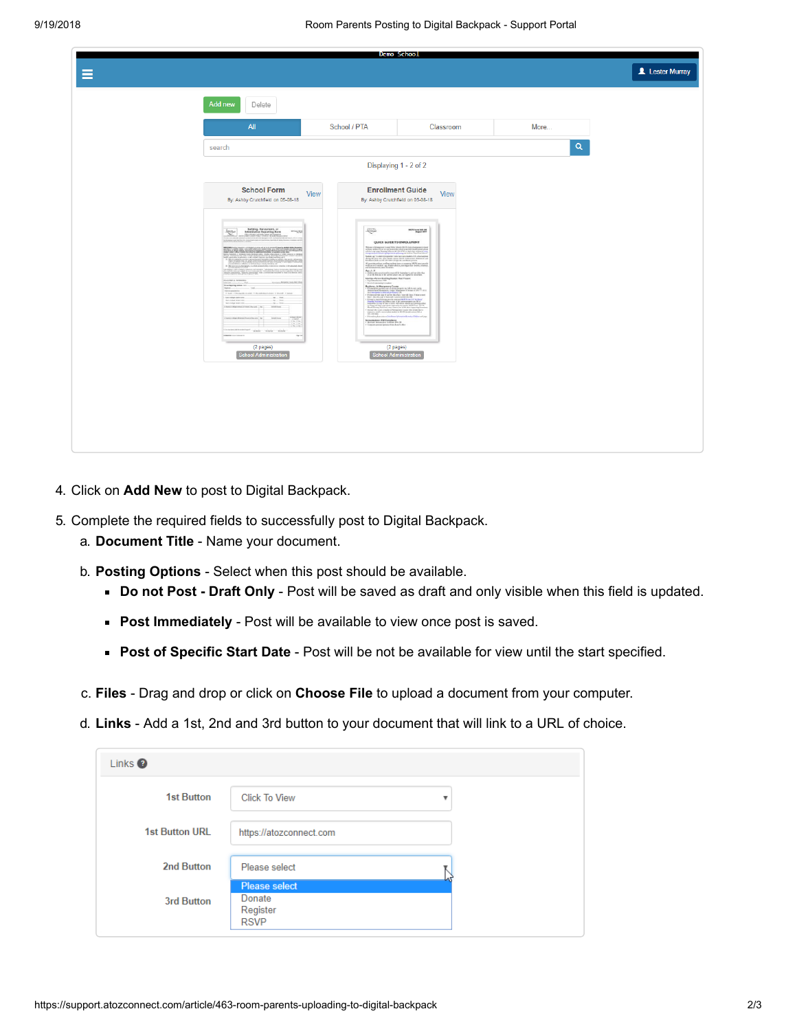| Add new<br>Delete                                                                                                                                                                                                                                                                                                                                                                                                                                                                                                                                                                                                                                                                                                                                                                                                                                                                                                                                                                                                                                                                                                                                                                                                                                                                                                                                                                                                                                                                                                                                                                                                                                                                                                                                                                                                                                                                                                                                                                                                                                                                                                                                                                                                                                                                                                                                                                                                                                                                                                                       |
|-----------------------------------------------------------------------------------------------------------------------------------------------------------------------------------------------------------------------------------------------------------------------------------------------------------------------------------------------------------------------------------------------------------------------------------------------------------------------------------------------------------------------------------------------------------------------------------------------------------------------------------------------------------------------------------------------------------------------------------------------------------------------------------------------------------------------------------------------------------------------------------------------------------------------------------------------------------------------------------------------------------------------------------------------------------------------------------------------------------------------------------------------------------------------------------------------------------------------------------------------------------------------------------------------------------------------------------------------------------------------------------------------------------------------------------------------------------------------------------------------------------------------------------------------------------------------------------------------------------------------------------------------------------------------------------------------------------------------------------------------------------------------------------------------------------------------------------------------------------------------------------------------------------------------------------------------------------------------------------------------------------------------------------------------------------------------------------------------------------------------------------------------------------------------------------------------------------------------------------------------------------------------------------------------------------------------------------------------------------------------------------------------------------------------------------------------------------------------------------------------------------------------------------------|
| All                                                                                                                                                                                                                                                                                                                                                                                                                                                                                                                                                                                                                                                                                                                                                                                                                                                                                                                                                                                                                                                                                                                                                                                                                                                                                                                                                                                                                                                                                                                                                                                                                                                                                                                                                                                                                                                                                                                                                                                                                                                                                                                                                                                                                                                                                                                                                                                                                                                                                                                                     |
| search                                                                                                                                                                                                                                                                                                                                                                                                                                                                                                                                                                                                                                                                                                                                                                                                                                                                                                                                                                                                                                                                                                                                                                                                                                                                                                                                                                                                                                                                                                                                                                                                                                                                                                                                                                                                                                                                                                                                                                                                                                                                                                                                                                                                                                                                                                                                                                                                                                                                                                                                  |
|                                                                                                                                                                                                                                                                                                                                                                                                                                                                                                                                                                                                                                                                                                                                                                                                                                                                                                                                                                                                                                                                                                                                                                                                                                                                                                                                                                                                                                                                                                                                                                                                                                                                                                                                                                                                                                                                                                                                                                                                                                                                                                                                                                                                                                                                                                                                                                                                                                                                                                                                         |
| <b>School Form</b><br>View<br>By: Ashby Crutchfield on 05-08-18<br>$\underbrace{\text{Unif}_\mathcal{M}(\mathcal{C})}_{\text{inif}_\mathcal{M}(\mathcal{C})} \quad \text{Inif}_\mathcal{M}(\mathcal{C}) \text{ Horspace of } \mathcal{C} \text{ for } \mathcal{C} \text{ for } \mathcal{C} \text{ and } \mathcal{C} \text{ for } \mathcal{C} \text{ for } \mathcal{C} \text{ for } \mathcal{C} \text{ for } \mathcal{C} \text{ for } \mathcal{C} \text{ for } \mathcal{C} \text{ for } \mathcal{C} \text{ for } \mathcal{C} \text{ for } \mathcal{C} \text{ for } \mathcal{C} \text$<br><b>Automotive Service Contact</b><br>ENSIN'S WAS CITY, CARDS TRANSPORTED A MODERN ASSOCIATED<br><b>Below homestyle experience and product and the company of the angle in the company of the company of the company</b><br>$\mathbb{Z}^n$ films and $\mathbb{Z}^n$ is the condition of the films of the conditions of $\mathbb{Z}^n$<br>$\begin{tabular}{ll} $\mathsf{supp}(\mathsf{a})$ & $\mathsf{supp}(\mathsf{a})$ & $\mathsf{supp}(\mathsf{a})$ & $\mathsf{supp}(\mathsf{a})$ & $\mathsf{supp}(\mathsf{a})$ & $\mathsf{supp}(\mathsf{a})$\\ \hline \mathsf{supp}(\mathsf{a})$ & $\mathsf{supp}(\mathsf{a})$ & $\mathsf{supp}(\mathsf{a})$ & $\mathsf{supp}(\mathsf{a})$ & $\mathsf{supp}(\mathsf{a})$ & $\mathsf{supp}(\mathsf{a})$ & $\mathsf{supp}(\mathsf{a})$ & $\mathsf{supp}(\mathsf{a})$$<br>$\begin{tabular}{l c c c c c} \hline $w$ & $b\bar{w}$ & $b\bar{w}$ \\ \hline we compute the\nw$ & $b\bar{w}$ & $b\bar{w}$ \\ \hline we compute the\nw$ & $b\bar{w}$ & $b\bar{w}$ \\ \hline \end{tabular}\label{eq:3.1} \text{mod} \, \tau \, \text{mod} \, \text{mod} \, \text{mod} \, \text{mod} \, \text{mod} \, \text{mod} \, \text{mod} \, \text{mod} \, \text{mod} \, \text{mod} \, \text{mod} \, \text{mod} \, \text{mod} \, \text{mod} \, \text{mod} \, \text{mod} \, \text{mod} \, \text{mod} \, \text{mod} \, \text{mod} \, \text{mod} \, \text{mod} \, \text{mod} \, \text{mod} \, \text{mod} \, \text{mod} \, \text{mod} \, \text{mod} \, \text{modT\label{eq:constr} \frac{1}{\sqrt{2\pi\sigma^2\sigma^2}}\sim\frac{1}{\sqrt{2\pi\sigma^2\sigma^2}}\sim\frac{1}{\sqrt{2\pi\sigma^2\sigma^2}}\sim\frac{1}{\sqrt{2\pi\sigma^2\sigma^2}}\sim\frac{1}{\sqrt{2\pi\sigma^2\sigma^2\sigma^2}}\sim\frac{1}{\sqrt{2\pi\sigma^2\sigma^2\sigma^2}}\sim\frac{1}{\sqrt{2\pi\sigma^2\sigma^2\sigma^2}}\sim\frac{1}{\sqrt{2\pi\sigma^2\sigma^2\sigma^2\sigma^2\sigma^2\sigma^2\sigma^2\sigma^2\sigma^Barne(2 pages)School Administration$ |

- 4. Click on **Add New** to post to Digital Backpack.
- 5. Complete the required fields to successfully post to Digital Backpack.
	- a. **Document Title** Name your document.
	- b. **Posting Options**  Select when this post should be available.
		- **Do not Post Draft Only Post will be saved as draft and only visible when this field is updated.**
		- **Post Immediately** Post will be available to view once post is saved.
		- **Post of Specific Start Date** Post will be not be available for view until the start specified.
	- c. **Files** Drag and drop or click on **Choose File** to upload a document from your computer.
	- d. **Links**  Add a 1st, 2nd and 3rd button to your document that will link to a URL of choice.

| Links <sup>2</sup>    |                                                           |
|-----------------------|-----------------------------------------------------------|
| <b>1st Button</b>     | <b>Click To View</b><br>▼                                 |
| <b>1st Button URL</b> | https://atozconnect.com                                   |
| 2nd Button            | Please select                                             |
| 3rd Button            | <b>Please select</b><br>Donate<br>Register<br><b>RSVP</b> |